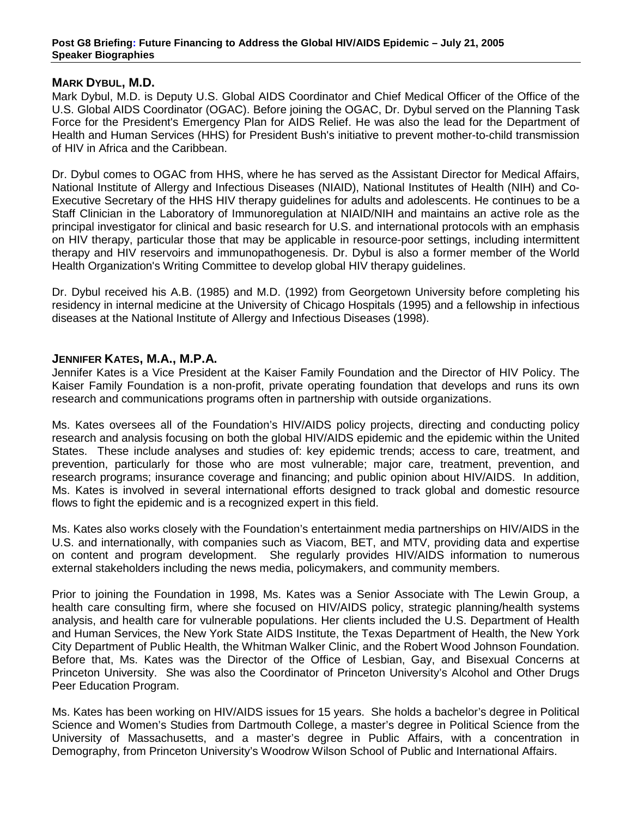#### **Post G8 Briefing: Future Financing to Address the Global HIV/AIDS Epidemic – July 21, 2005 Speaker Biographies**

# **MARK DYBUL, M.D.**

Mark Dybul, M.D. is Deputy U.S. Global AIDS Coordinator and Chief Medical Officer of the Office of the U.S. Global AIDS Coordinator (OGAC). Before joining the OGAC, Dr. Dybul served on the Planning Task Force for the President's Emergency Plan for AIDS Relief. He was also the lead for the Department of Health and Human Services (HHS) for President Bush's initiative to prevent mother-to-child transmission of HIV in Africa and the Caribbean.

Dr. Dybul comes to OGAC from HHS, where he has served as the Assistant Director for Medical Affairs, National Institute of Allergy and Infectious Diseases (NIAID), National Institutes of Health (NIH) and Co-Executive Secretary of the HHS HIV therapy guidelines for adults and adolescents. He continues to be a Staff Clinician in the Laboratory of Immunoregulation at NIAID/NIH and maintains an active role as the principal investigator for clinical and basic research for U.S. and international protocols with an emphasis on HIV therapy, particular those that may be applicable in resource-poor settings, including intermittent therapy and HIV reservoirs and immunopathogenesis. Dr. Dybul is also a former member of the World Health Organization's Writing Committee to develop global HIV therapy guidelines.

Dr. Dybul received his A.B. (1985) and M.D. (1992) from Georgetown University before completing his residency in internal medicine at the University of Chicago Hospitals (1995) and a fellowship in infectious diseases at the National Institute of Allergy and Infectious Diseases (1998).

## **JENNIFER KATES, M.A., M.P.A.**

Jennifer Kates is a Vice President at the Kaiser Family Foundation and the Director of HIV Policy. The Kaiser Family Foundation is a non-profit, private operating foundation that develops and runs its own research and communications programs often in partnership with outside organizations.

Ms. Kates oversees all of the Foundation's HIV/AIDS policy projects, directing and conducting policy research and analysis focusing on both the global HIV/AIDS epidemic and the epidemic within the United States. These include analyses and studies of: key epidemic trends; access to care, treatment, and prevention, particularly for those who are most vulnerable; major care, treatment, prevention, and research programs; insurance coverage and financing; and public opinion about HIV/AIDS. In addition, Ms. Kates is involved in several international efforts designed to track global and domestic resource flows to fight the epidemic and is a recognized expert in this field.

Ms. Kates also works closely with the Foundation's entertainment media partnerships on HIV/AIDS in the U.S. and internationally, with companies such as Viacom, BET, and MTV, providing data and expertise on content and program development. She regularly provides HIV/AIDS information to numerous external stakeholders including the news media, policymakers, and community members.

Prior to joining the Foundation in 1998, Ms. Kates was a Senior Associate with The Lewin Group, a health care consulting firm, where she focused on HIV/AIDS policy, strategic planning/health systems analysis, and health care for vulnerable populations. Her clients included the U.S. Department of Health and Human Services, the New York State AIDS Institute, the Texas Department of Health, the New York City Department of Public Health, the Whitman Walker Clinic, and the Robert Wood Johnson Foundation. Before that, Ms. Kates was the Director of the Office of Lesbian, Gay, and Bisexual Concerns at Princeton University. She was also the Coordinator of Princeton University's Alcohol and Other Drugs Peer Education Program.

Ms. Kates has been working on HIV/AIDS issues for 15 years. She holds a bachelor's degree in Political Science and Women's Studies from Dartmouth College, a master's degree in Political Science from the University of Massachusetts, and a master's degree in Public Affairs, with a concentration in Demography, from Princeton University's Woodrow Wilson School of Public and International Affairs.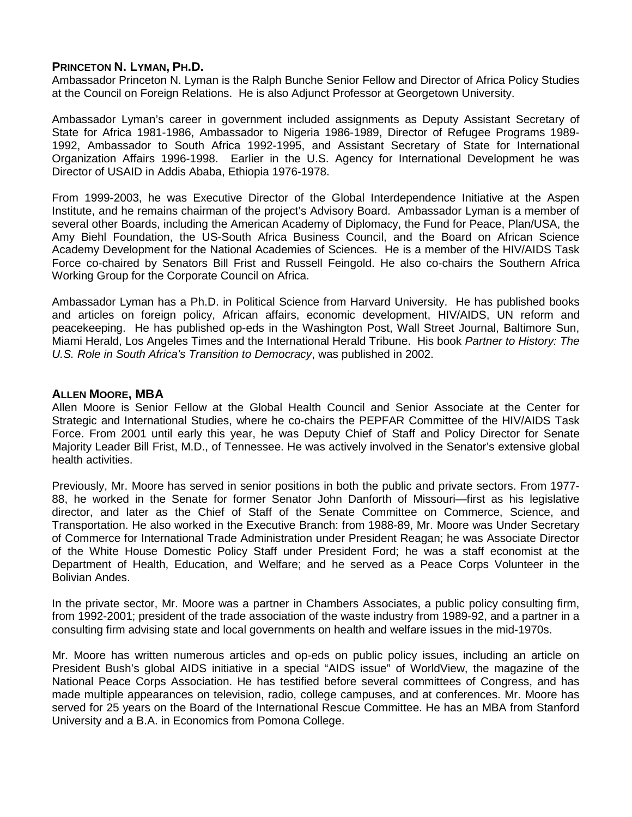## **PRINCETON N. LYMAN, PH.D.**

Ambassador Princeton N. Lyman is the Ralph Bunche Senior Fellow and Director of Africa Policy Studies at the Council on Foreign Relations. He is also Adjunct Professor at Georgetown University.

Ambassador Lyman's career in government included assignments as Deputy Assistant Secretary of State for Africa 1981-1986, Ambassador to Nigeria 1986-1989, Director of Refugee Programs 1989- 1992, Ambassador to South Africa 1992-1995, and Assistant Secretary of State for International Organization Affairs 1996-1998. Earlier in the U.S. Agency for International Development he was Director of USAID in Addis Ababa, Ethiopia 1976-1978.

From 1999-2003, he was Executive Director of the Global Interdependence Initiative at the Aspen Institute, and he remains chairman of the project's Advisory Board. Ambassador Lyman is a member of several other Boards, including the American Academy of Diplomacy, the Fund for Peace, Plan/USA, the Amy Biehl Foundation, the US-South Africa Business Council, and the Board on African Science Academy Development for the National Academies of Sciences. He is a member of the HIV/AIDS Task Force co-chaired by Senators Bill Frist and Russell Feingold. He also co-chairs the Southern Africa Working Group for the Corporate Council on Africa.

Ambassador Lyman has a Ph.D. in Political Science from Harvard University. He has published books and articles on foreign policy, African affairs, economic development, HIV/AIDS, UN reform and peacekeeping. He has published op-eds in the Washington Post, Wall Street Journal, Baltimore Sun, Miami Herald, Los Angeles Times and the International Herald Tribune. His book *Partner to History: The U.S. Role in South Africa's Transition to Democracy*, was published in 2002.

#### **ALLEN MOORE, MBA**

Allen Moore is Senior Fellow at the Global Health Council and Senior Associate at the Center for Strategic and International Studies, where he co-chairs the PEPFAR Committee of the HIV/AIDS Task Force. From 2001 until early this year, he was Deputy Chief of Staff and Policy Director for Senate Majority Leader Bill Frist, M.D., of Tennessee. He was actively involved in the Senator's extensive global health activities.

Previously, Mr. Moore has served in senior positions in both the public and private sectors. From 1977- 88, he worked in the Senate for former Senator John Danforth of Missouri—first as his legislative director, and later as the Chief of Staff of the Senate Committee on Commerce, Science, and Transportation. He also worked in the Executive Branch: from 1988-89, Mr. Moore was Under Secretary of Commerce for International Trade Administration under President Reagan; he was Associate Director of the White House Domestic Policy Staff under President Ford; he was a staff economist at the Department of Health, Education, and Welfare; and he served as a Peace Corps Volunteer in the Bolivian Andes.

In the private sector, Mr. Moore was a partner in Chambers Associates, a public policy consulting firm, from 1992-2001; president of the trade association of the waste industry from 1989-92, and a partner in a consulting firm advising state and local governments on health and welfare issues in the mid-1970s.

Mr. Moore has written numerous articles and op-eds on public policy issues, including an article on President Bush's global AIDS initiative in a special "AIDS issue" of WorldView, the magazine of the National Peace Corps Association. He has testified before several committees of Congress, and has made multiple appearances on television, radio, college campuses, and at conferences. Mr. Moore has served for 25 years on the Board of the International Rescue Committee. He has an MBA from Stanford University and a B.A. in Economics from Pomona College.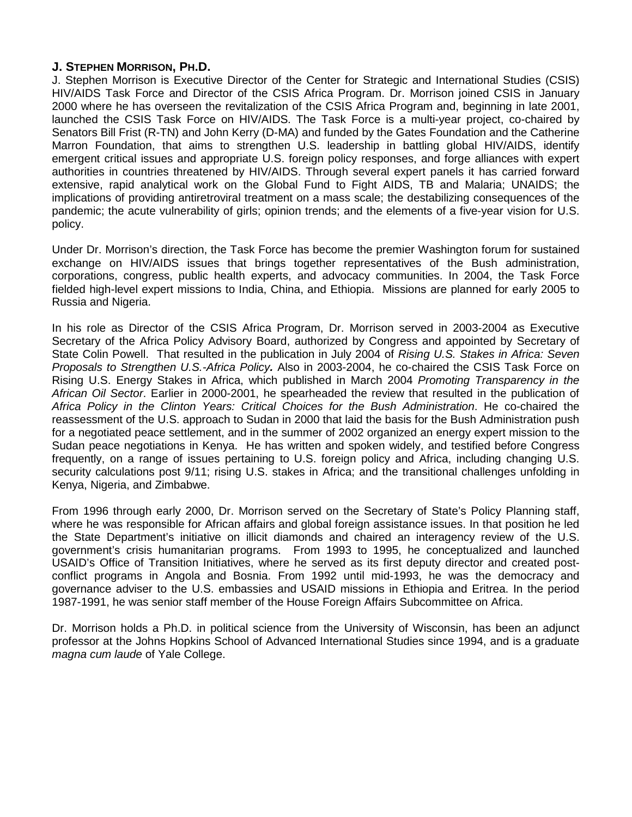## **J. STEPHEN MORRISON, PH.D.**

J. Stephen Morrison is Executive Director of the Center for Strategic and International Studies (CSIS) HIV/AIDS Task Force and Director of the CSIS Africa Program. Dr. Morrison joined CSIS in January 2000 where he has overseen the revitalization of the CSIS Africa Program and, beginning in late 2001, launched the CSIS Task Force on HIV/AIDS. The Task Force is a multi-year project, co-chaired by Senators Bill Frist (R-TN) and John Kerry (D-MA) and funded by the Gates Foundation and the Catherine Marron Foundation, that aims to strengthen U.S. leadership in battling global HIV/AIDS, identify emergent critical issues and appropriate U.S. foreign policy responses, and forge alliances with expert authorities in countries threatened by HIV/AIDS. Through several expert panels it has carried forward extensive, rapid analytical work on the Global Fund to Fight AIDS, TB and Malaria; UNAIDS; the implications of providing antiretroviral treatment on a mass scale; the destabilizing consequences of the pandemic; the acute vulnerability of girls; opinion trends; and the elements of a five-year vision for U.S. policy.

Under Dr. Morrison's direction, the Task Force has become the premier Washington forum for sustained exchange on HIV/AIDS issues that brings together representatives of the Bush administration, corporations, congress, public health experts, and advocacy communities. In 2004, the Task Force fielded high-level expert missions to India, China, and Ethiopia. Missions are planned for early 2005 to Russia and Nigeria.

In his role as Director of the CSIS Africa Program, Dr. Morrison served in 2003-2004 as Executive Secretary of the Africa Policy Advisory Board, authorized by Congress and appointed by Secretary of State Colin Powell. That resulted in the publication in July 2004 of *Rising U.S. Stakes in Africa: Seven Proposals to Strengthen U.S.-Africa Policy.* Also in 2003-2004, he co-chaired the CSIS Task Force on Rising U.S. Energy Stakes in Africa, which published in March 2004 *Promoting Transparency in the African Oil Sector*. Earlier in 2000-2001, he spearheaded the review that resulted in the publication of *Africa Policy in the Clinton Years: Critical Choices for the Bush Administration*. He co-chaired the reassessment of the U.S. approach to Sudan in 2000 that laid the basis for the Bush Administration push for a negotiated peace settlement, and in the summer of 2002 organized an energy expert mission to the Sudan peace negotiations in Kenya. He has written and spoken widely, and testified before Congress frequently, on a range of issues pertaining to U.S. foreign policy and Africa, including changing U.S. security calculations post 9/11; rising U.S. stakes in Africa; and the transitional challenges unfolding in Kenya, Nigeria, and Zimbabwe.

From 1996 through early 2000, Dr. Morrison served on the Secretary of State's Policy Planning staff, where he was responsible for African affairs and global foreign assistance issues. In that position he led the State Department's initiative on illicit diamonds and chaired an interagency review of the U.S. government's crisis humanitarian programs. From 1993 to 1995, he conceptualized and launched USAID's Office of Transition Initiatives, where he served as its first deputy director and created postconflict programs in Angola and Bosnia. From 1992 until mid-1993, he was the democracy and governance adviser to the U.S. embassies and USAID missions in Ethiopia and Eritrea. In the period 1987-1991, he was senior staff member of the House Foreign Affairs Subcommittee on Africa.

Dr. Morrison holds a Ph.D. in political science from the University of Wisconsin, has been an adjunct professor at the Johns Hopkins School of Advanced International Studies since 1994, and is a graduate *magna cum laude* of Yale College.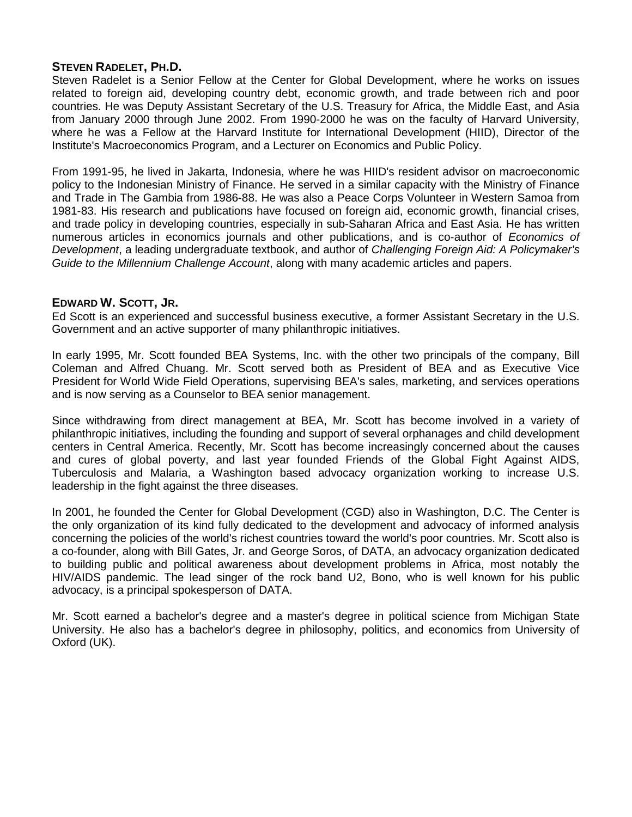## **STEVEN RADELET, PH.D.**

Steven Radelet is a Senior Fellow at the Center for Global Development, where he works on issues related to foreign aid, developing country debt, economic growth, and trade between rich and poor countries. He was Deputy Assistant Secretary of the U.S. Treasury for Africa, the Middle East, and Asia from January 2000 through June 2002. From 1990-2000 he was on the faculty of Harvard University, where he was a Fellow at the Harvard Institute for International Development (HIID), Director of the Institute's Macroeconomics Program, and a Lecturer on Economics and Public Policy.

From 1991-95, he lived in Jakarta, Indonesia, where he was HIID's resident advisor on macroeconomic policy to the Indonesian Ministry of Finance. He served in a similar capacity with the Ministry of Finance and Trade in The Gambia from 1986-88. He was also a Peace Corps Volunteer in Western Samoa from 1981-83. His research and publications have focused on foreign aid, economic growth, financial crises, and trade policy in developing countries, especially in sub-Saharan Africa and East Asia. He has written numerous articles in economics journals and other publications, and is co-author of *Economics of Development*, a leading undergraduate textbook, and author of *Challenging Foreign Aid: A Policymaker's Guide to the Millennium Challenge Account*, along with many academic articles and papers.

## **EDWARD W. SCOTT, JR.**

Ed Scott is an experienced and successful business executive, a former Assistant Secretary in the U.S. Government and an active supporter of many philanthropic initiatives.

In early 1995, Mr. Scott founded BEA Systems, Inc. with the other two principals of the company, Bill Coleman and Alfred Chuang. Mr. Scott served both as President of BEA and as Executive Vice President for World Wide Field Operations, supervising BEA's sales, marketing, and services operations and is now serving as a Counselor to BEA senior management.

Since withdrawing from direct management at BEA, Mr. Scott has become involved in a variety of philanthropic initiatives, including the founding and support of several orphanages and child development centers in Central America. Recently, Mr. Scott has become increasingly concerned about the causes and cures of global poverty, and last year founded Friends of the Global Fight Against AIDS, Tuberculosis and Malaria, a Washington based advocacy organization working to increase U.S. leadership in the fight against the three diseases.

In 2001, he founded the Center for Global Development (CGD) also in Washington, D.C. The Center is the only organization of its kind fully dedicated to the development and advocacy of informed analysis concerning the policies of the world's richest countries toward the world's poor countries. Mr. Scott also is a co-founder, along with Bill Gates, Jr. and George Soros, of DATA, an advocacy organization dedicated to building public and political awareness about development problems in Africa, most notably the HIV/AIDS pandemic. The lead singer of the rock band U2, Bono, who is well known for his public advocacy, is a principal spokesperson of DATA.

Mr. Scott earned a bachelor's degree and a master's degree in political science from Michigan State University. He also has a bachelor's degree in philosophy, politics, and economics from University of Oxford (UK).